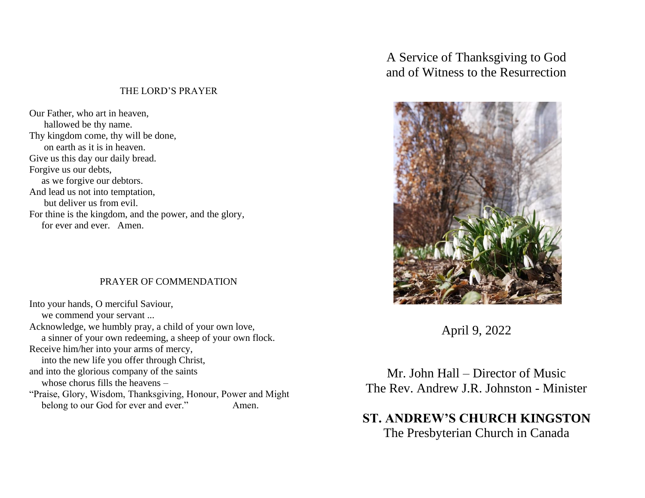## THE LORD'S PRAYER

Our Father, who art in heaven, hallowed be thy name. Thy kingdom come, thy will be done, on earth as it is in heaven. Give us this day our daily bread. Forgive us our debts, as we forgive our debtors. And lead us not into temptation, but deliver us from evil. For thine is the kingdom, and the power, and the glory, for ever and ever. Amen.

## PRAYER OF COMMENDATION

Into your hands, O merciful Saviour, we commend your servant ... Acknowledge, we humbly pray, a child of your own love, a sinner of your own redeeming, a sheep of your own flock. Receive him/her into your arms of mercy, into the new life you offer through Christ, and into the glorious company of the saints whose chorus fills the heavens – "Praise, Glory, Wisdom, Thanksgiving, Honour, Power and Might belong to our God for ever and ever." Amen.

A Service of Thanksgiving to God and of Witness to the Resurrection



April 9, 2022

Mr. John Hall – Director of Music The Rev. Andrew J.R. Johnston - Minister

**ST. ANDREW'S CHURCH KINGSTON** The Presbyterian Church in Canada